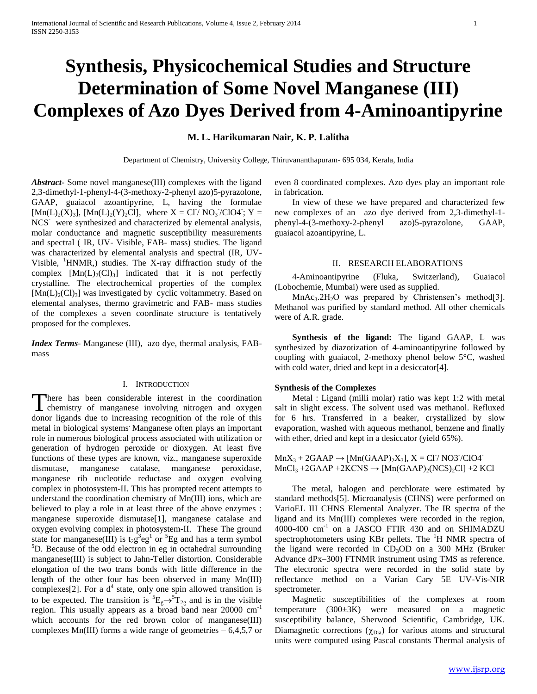# **Synthesis, Physicochemical Studies and Structure Determination of Some Novel Manganese (III) Complexes of Azo Dyes Derived from 4-Aminoantipyrine**

# **M. L. Harikumaran Nair, K. P. Lalitha**

Department of Chemistry, University College, Thiruvananthapuram- 695 034, Kerala, India

*Abstract***-** Some novel manganese(III) complexes with the ligand 2,3-dimethyl-1-phenyl-4-(3-methoxy-2-phenyl azo)5-pyrazolone, GAAP, guaiacol azoantipyrine, L, having the formulae  $[{\rm Mn}(L)_2(X)_3]$ ,  $[{\rm Mn}(L)_2(Y)_2\tilde{C}]$ , where  $X = \tilde{C}I/\tilde{N}O_3/CIO4$ ;  $Y =$ NCS<sup>-</sup> were synthesized and characterized by elemental analysis, molar conductance and magnetic susceptibility measurements and spectral ( IR, UV- Visible, FAB- mass) studies. The ligand was characterized by elemental analysis and spectral (IR, UV-Visible,  $\frac{1}{2}$ HNMR, studies. The X-ray diffraction study of the complex  $[Mn(L)<sub>2</sub>(Cl)<sub>3</sub>]$  indicated that it is not perfectly crystalline. The electrochemical properties of the complex  $[Mn(L)<sub>2</sub>(Cl)<sub>3</sub>]$  was investigated by cyclic voltammetry. Based on elemental analyses, thermo gravimetric and FAB- mass studies of the complexes a seven coordinate structure is tentatively proposed for the complexes.

*Index Terms*- Manganese (III), azo dye, thermal analysis, FABmass

# I. INTRODUCTION

here has been considerable interest in the coordination There has been considerable interest in the coordination<br>chemistry of manganese involving nitrogen and oxygen donor ligands due to increasing recognition of the role of this metal in biological systems. Manganese often plays an important role in numerous biological process associated with utilization or generation of hydrogen peroxide or dioxygen. At least five functions of these types are known, viz., manganese superoxide dismutase, manganese catalase, manganese peroxidase, manganese rib nucleotide reductase and oxygen evolving complex in photosystem-II. This has prompted recent attempts to understand the coordination chemistry of Mn(III) ions, which are believed to play a role in at least three of the above enzymes : manganese superoxide dismutase[1], manganese catalase and oxygen evolving complex in photosystem-II. These The ground state for manganese(III) is  $t_2g^3eg^1$  or <sup>5</sup>Eg and has a term symbol  ${}^{5}D$ . Because of the odd electron in eg in octahedral surrounding manganese(III) is subject to Jahn-Teller distortion. Considerable elongation of the two trans bonds with little difference in the length of the other four has been observed in many Mn(III) complexes<sup>[2]</sup>. For a  $d^4$  state, only one spin allowed transition is to be expected. The transition is  ${}^5E_g \rightarrow {}^5T_{2g}$  and is in the visible region. This usually appears as a broad band near 20000 cm<sup>-1</sup> which accounts for the red brown color of manganese(III) complexes  $Mn(III)$  forms a wide range of geometries  $-6,4,5,7$  or

even 8 coordinated complexes. Azo dyes play an important role in fabrication.

 In view of these we have prepared and characterized few new complexes of an azo dye derived from 2,3-dimethyl-1 phenyl-4-(3-methoxy-2-phenyl azo)5-pyrazolone, GAAP, guaiacol azoantipyrine, L.

#### II. RESEARCH ELABORATIONS

 4-Aminoantipyrine (Fluka, Switzerland), Guaiacol (Lobochemie, Mumbai) were used as supplied.

 $MnAc<sub>3</sub>·2H<sub>2</sub>O$  was prepared by Christensen's method<sup>[3]</sup>. Methanol was purified by standard method. All other chemicals were of A.R. grade.

 **Synthesis of the ligand:** The ligand GAAP, L was synthesized by diazotization of 4-aminoantipyrine followed by coupling with guaiacol, 2-methoxy phenol below 5°C, washed with cold water, dried and kept in a desiccator<sup>[4]</sup>.

#### **Synthesis of the Complexes**

 Metal : Ligand (milli molar) ratio was kept 1:2 with metal salt in slight excess. The solvent used was methanol. Refluxed for 6 hrs. Transferred in a beaker, crystallized by slow evaporation, washed with aqueous methanol, benzene and finally with ether, dried and kept in a desiccator (yield 65%).

 $MnX_3 + 2GAAP \rightarrow [Mn(GAAP)_2X_3]$ ,  $X = CI/MO37/ClO47$  $MnCl<sub>3</sub> + 2GAAP + 2KCNS \rightarrow [Mn(GAAP)<sub>2</sub>(NCS)<sub>2</sub>Cl] + 2 KCl$ 

 The metal, halogen and perchlorate were estimated by standard methods[5]. Microanalysis (CHNS) were performed on VarioEL III CHNS Elemental Analyzer. The IR spectra of the ligand and its Mn(III) complexes were recorded in the region, 4000-400 cm-1 on a JASCO FTIR 430 and on SHIMADZU spectrophotometers using KBr pellets. The  $H$  NMR spectra of the ligand were recorded in  $CD_3OD$  on a 300 MHz (Bruker Advance dPx–300) FTNMR instrument using TMS as reference. The electronic spectra were recorded in the solid state by reflectance method on a Varian Cary 5E UV-Vis-NIR spectrometer.

 Magnetic susceptibilities of the complexes at room temperature (300±3K) were measured on a magnetic susceptibility balance, Sherwood Scientific, Cambridge, UK. Diamagnetic corrections  $(\chi_{\text{Dia}})$  for various atoms and structural units were computed using Pascal constants Thermal analysis of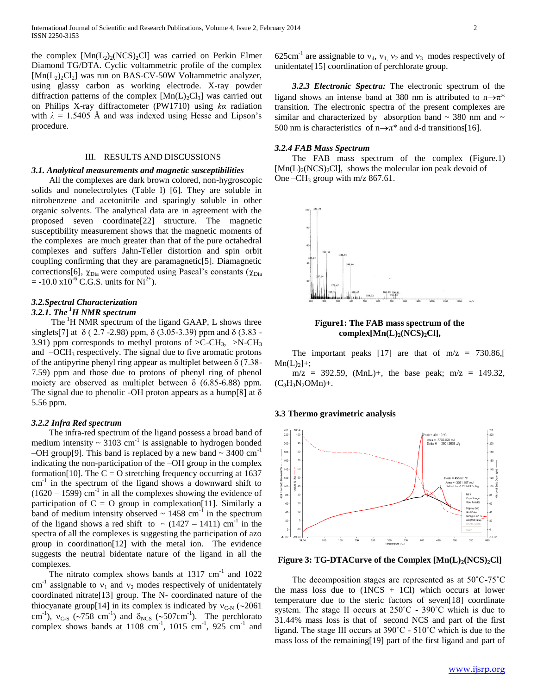the complex  $[Mn(L<sub>2</sub>)<sub>2</sub>(NCS)<sub>2</sub>C1]$  was carried on Perkin Elmer Diamond TG/DTA. Cyclic voltammetric profile of the complex  $[Mn(L_2)_2Cl_2]$  was run on BAS-CV-50W Voltammetric analyzer, using glassy carbon as working electrode. X-ray powder diffraction patterns of the complex  $[Mn(L)_2Cl_3]$  was carried out on Philips X-ray diffractometer (PW1710) using *kα* radiation with  $\lambda = 1.5405$  Å and was indexed using Hesse and Lipson's procedure.

#### III. RESULTS AND DISCUSSIONS

#### *3.1. Analytical measurements and magnetic susceptibilities*

 All the complexes are dark brown colored, non-hygroscopic solids and nonelectrolytes (Table I) [6]. They are soluble in nitrobenzene and acetonitrile and sparingly soluble in other organic solvents. The analytical data are in agreement with the proposed seven coordinate[22] structure. The magnetic susceptibility measurement shows that the magnetic moments of the complexes are much greater than that of the pure octahedral complexes and suffers Jahn-Teller distortion and spin orbit coupling confirming that they are paramagnetic[5]. Diamagnetic corrections[6],  $\chi_{\text{Dia}}$  were computed using Pascal's constants ( $\chi_{\text{Dia}}$  $= -10.0 \times 10^{-6}$  C.G.S. units for Ni<sup>2+</sup>).

# *3.2.Spectral Characterization*

*3.2.1. The <sup>1</sup>H NMR spectrum* 

The  $H$  NMR spectrum of the ligand GAAP, L shows three singlets[7] at  $\delta$  (2.7 -2.98) ppm,  $\delta$  (3.05-3.39) ppm and  $\delta$  (3.83 -3.91) ppm corresponds to methyl protons of  $\geq$ C-CH<sub>3</sub>,  $\geq$ N-CH<sub>3</sub> and  $-OCH<sub>3</sub>$  respectively. The signal due to five aromatic protons of the antipyrine phenyl ring appear as multiplet between  $\delta$  (7.38-7.59) ppm and those due to protons of phenyl ring of phenol moiety are observed as multiplet between  $\delta$  (6.85-6.88) ppm. The signal due to phenolic -OH proton appears as a hump[8] at  $\delta$ 5.56 ppm.

# *3.2.2 Infra Red spectrum*

 The infra-red spectrum of the ligand possess a broad band of medium intensity  $\sim 3103$  cm<sup>-1</sup> is assignable to hydrogen bonded –OH group[9]. This band is replaced by a new band  $\sim$  3400 cm<sup>-1</sup> indicating the non-participation of the –OH group in the complex formation[10]. The  $C = O$  stretching frequency occurring at 1637 cm<sup>-1</sup> in the spectrum of the ligand shows a downward shift to  $(1620 - 1599)$  cm<sup>-1</sup> in all the complexes showing the evidence of participation of  $C = O$  group in complexation[11]. Similarly a band of medium intensity observed  $\sim 1458$  cm<sup>-1</sup> in the spectrum of the ligand shows a red shift to  $\sim$  (1427 – 1411) cm<sup>-1</sup> in the spectra of all the complexes is suggesting the participation of azo group in coordination[12] with the metal ion. The evidence suggests the neutral bidentate nature of the ligand in all the complexes.

The nitrato complex shows bands at  $1317 \text{ cm}^{-1}$  and  $1022$ cm<sup>-1</sup> assignable to  $v_1$  and  $v_2$  modes respectively of unidentately coordinated nitrate[13] group. The N- coordinated nature of the thiocyanate group[14] in its complex is indicated by  $v_{C-N}$  (~2061) cm<sup>-1</sup>),  $v_{C-S}$  ( $\sim$ 758 cm<sup>-1</sup>) and  $\delta_{NCS}$  ( $\sim$ 507cm<sup>-1</sup>). The perchlorato complex shows bands at  $1108 \text{ cm}^{-1}$ ,  $1015 \text{ cm}^{-1}$ ,  $925 \text{ cm}^{-1}$  and

625cm<sup>-1</sup> are assignable to  $v_4$ ,  $v_1$ ,  $v_2$  and  $v_3$  modes respectively of unidentate[15] coordination of perchlorate group.

 *3.2.3 Electronic Spectra:* The electronic spectrum of the ligand shows an intense band at 380 nm is attributed to  $n \rightarrow \pi^*$ transition. The electronic spectra of the present complexes are similar and characterized by absorption band  $\sim$  380 nm and  $\sim$ 500 nm is characteristics of  $n \rightarrow \pi^*$  and d-d transitions[16].

#### *3.2.4 FAB Mass Spectrum*

 The FAB mass spectrum of the complex (Figure.1)  $[Mn(L)<sub>2</sub>(NCS)<sub>2</sub>Cl]$ , shows the molecular ion peak devoid of One –CH<sub>3</sub> group with  $m/z$  867.61.



# **Figure1: The FAB mass spectrum of the complex[Mn(L)2(NCS)2Cl],**

The important peaks [17] are that of  $m/z = 730.86$ ,  $Mn(L)_{2}$  +;

 $m/z = 392.59$ , (MnL)+, the base peak;  $m/z = 149.32$ ,  $(C_3H_3N_2OMn) +$ .

## **3.3 Thermo gravimetric analysis**



**Figure 3: TG-DTACurve of the Complex [Mn(L)2(NCS)2Cl]**

 The decomposition stages are represented as at 50˚C-75˚C the mass loss due to  $(1NCS + 1CI)$  which occurs at lower temperature due to the steric factors of seven[18] coordinate system. The stage II occurs at  $250^{\circ}$ C - 390 $^{\circ}$ C which is due to 31.44% mass loss is that of second NCS and part of the first ligand. The stage III occurs at 390˚C - 510˚C which is due to the mass loss of the remaining[19] part of the first ligand and part of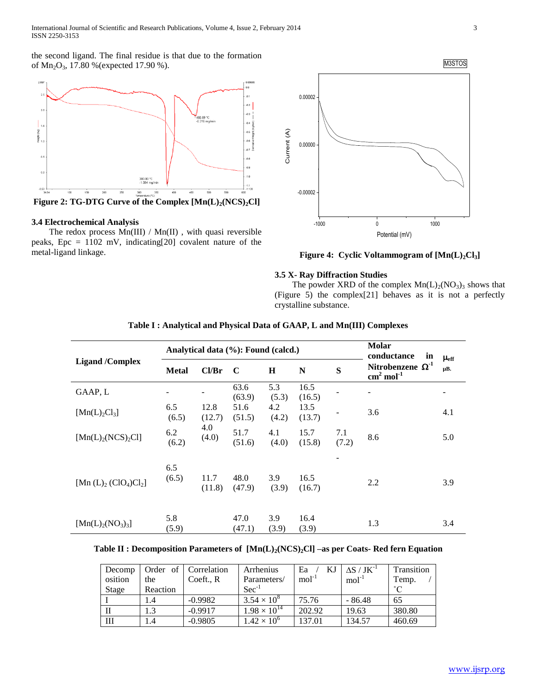the second ligand. The final residue is that due to the formation of Mn<sub>2</sub>O<sub>3</sub>, 17.80 % (expected 17.90 %).



**Figure 2: TG-DTG Curve of the Complex [Mn(L)2(NCS)2Cl]**

# **3.4 Electrochemical Analysis**

 The redox process Mn(III) / Mn(II) , with quasi reversible peaks, Epc = 1102 mV, indicating[20] covalent nature of the metal-ligand linkage.



**Figure 4: Cyclic Voltammogram of [Mn(L)2Cl3]**

# **3.5 X- Ray Diffraction Studies**

The powder XRD of the complex  $Mn(L)_{2}(NO_{3})_{3}$  shows that (Figure 5) the complex[21] behaves as it is not a perfectly crystalline substance.

| <b>Ligand</b> /Complex                |              |                | Analytical data (%): Found (calcd.) | <b>Molar</b><br>conductance<br>in | $\mu_{\rm eff}$ |              |                                                   |     |
|---------------------------------------|--------------|----------------|-------------------------------------|-----------------------------------|-----------------|--------------|---------------------------------------------------|-----|
|                                       | <b>Metal</b> | Cl/Br          | C                                   | $\bf H$                           | N               | S            | Nitrobenzene $\Omega$ <sup>1</sup><br>$cm2 mol-1$ | μB. |
| GAAP, L                               |              |                | 63.6<br>(63.9)                      | 5.3<br>(5.3)                      | 16.5<br>(16.5)  |              |                                                   |     |
| [Mn(L) <sub>2</sub> Cl <sub>3</sub> ] | 6.5<br>(6.5) | 12.8<br>(12.7) | 51.6<br>(51.5)                      | 4.2<br>(4.2)                      | 13.5<br>(13.7)  |              | 3.6                                               | 4.1 |
| $[Mn(L)_{2}(NCS)_{2}Cl]$              | 6.2<br>(6.2) | 4.0<br>(4.0)   | 51.7<br>(51.6)                      | 4.1<br>(4.0)                      | 15.7<br>(15.8)  | 7.1<br>(7.2) | 8.6                                               | 5.0 |
| [Mn $(L)$ <sub>2</sub> $(ClO4)Cl2$ ]  | 6.5<br>(6.5) | 11.7<br>(11.8) | 48.0<br>(47.9)                      | 3.9<br>(3.9)                      | 16.5<br>(16.7)  |              | 2.2                                               | 3.9 |
| $[Mn(L)2(NO3)3]$                      | 5.8<br>(5.9) |                | 47.0<br>(47.1)                      | 3.9<br>(3.9)                      | 16.4<br>(3.9)   |              | 1.3                                               | 3.4 |

# **Table I : Analytical and Physical Data of GAAP, L and Mn(III) Complexes**

# **Table II : Decomposition Parameters of [Mn(L)2(NCS)2Cl] –as per Coats- Red fern Equation**

| Decomp  |          | Order of Correlation | Arrhenius                  | Ea      | $\Delta S$ / $JK^{-1}$ | Transition |
|---------|----------|----------------------|----------------------------|---------|------------------------|------------|
| osition | the      | Coeft., R            | Parameters/                | $mol-1$ | $mol-1$                | Temp.      |
| Stage   | Reaction |                      | $\mathrm{Sec}^{\text{-}1}$ |         |                        | $\sim$     |
|         | 1.4      | $-0.9982$            | $3.54 \times 10^{8}$       | 75.76   | $-86.48$               | 65         |
|         |          | $-0.9917$            | $1.98 \times 10^{14}$      | 202.92  | 19.63                  | 380.80     |
| Ш       | 1.4      | $-0.9805$            | $1.42 \times 10^{6}$       | 137.01  | 134.57                 | 460.69     |